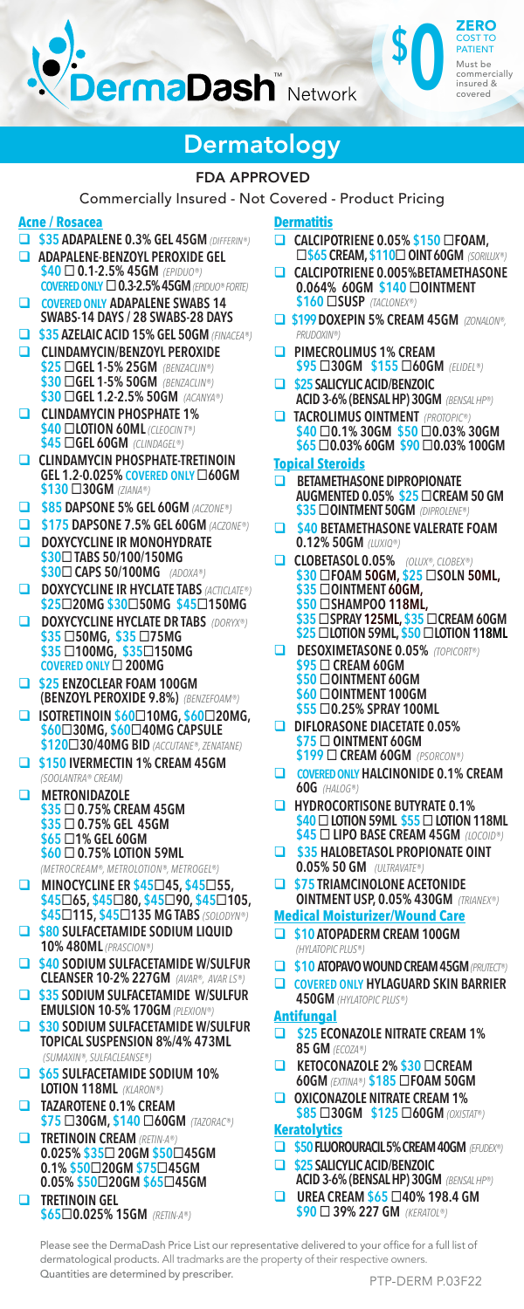

### **Dermatology**

#### FDA APPROVED

Commercially Insured - Not Covered - Product Pricing

#### **Acne / Rosacea**

- **\$35 ADAPALENE 0.3% GEL 45GM** *(DIFFERIN®)*
- **ADAPALENE-BENZOYL PEROXIDE GEL \$40 0.1-2.5% 45GM** *(EPIDUO®)* **COVERED ONLY 0.3-2.5% 45GM** *(EPIDUO® FORTE)*
- **COVERED ONLY ADAPALENE SWABS 14 SWABS-14 DAYS / 28 SWABS-28 DAYS**
- **\$35 AZELAIC ACID 15% GEL 50GM** *(FINACEA®)*  **CLINDAMYCIN/BENZOYL PEROXIDE**
- **\$25 GEL 1-5% 25GM** *(BENZACLIN®)* **\$30 GEL 1-5% 50GM** *(BENZACLIN®)* **\$30 GEL 1.2-2.5% 50GM** *(ACANYA®)*
- **CLINDAMYCIN PHOSPHATE 1% \$40 LOTION 60ML** *(CLEOCIN T®)* **\$45 GEL 60GM** *(CLINDAGEL®)*
- **CLINDAMYCIN PHOSPHATE-TRETINOIN GEL 1.2-0.025% COVERED ONLY 60GM \$130 30GM** *(ZIANA®)*
- **\$85 DAPSONE 5% GEL 60GM** *(ACZONE®)*
- **\$175 DAPSONE 7.5% GEL 60GM** *(ACZONE®)*  **DOXYCYCLINE IR MONOHYDRATE**
- **\$30 TABS 50/100/150MG \$30 CAPS 50/100MG** *(ADOXA®)* **DOXYCYCLINE IR HYCLATE TABS** *(ACTICLATE®)*
- **\$2520MG \$3050MG \$45150MG DOXYCYCLINE HYCLATE DR TABS** *(DORYX®)*
- **\$35 50MG, \$35 75MG \$35 100MG, \$35150MG COVERED ONLY 200MG**
- **\$25 ENZOCLEAR FOAM 100GM (BENZOYL PEROXIDE 9.8%)** *(BENZEFOAM®)*
- **ISOTRETINOIN \$6010MG, \$6020MG, \$6030MG, \$6040MG CAPSULE \$12030/40MG BID** *(ACCUTANE®, ZENATANE)*
- $\Box$  **\$150 IVERMECTIN 1% CREAM 45GM** *(SOOLANTRA® CREAM)*
- **METRONIDAZOLE \$35 0.75% CREAM 45GM \$35 0.75% GEL 45GM \$65 1% GEL 60GM \$60 0.75% LOTION 59ML**  *(METROCREAM®, METROLOTION®, METROGEL®)*
- **MINOCYCLINE ER \$45□45, \$45□55, \$4565, \$4580, \$4590, \$45105, \$45115, \$45135 MG TABS** *(SOLODYN®)*
- **\$80 SULFACETAMIDE SODIUM LIQUID 10% 480ML** *(PRASCION®)*
- **\$40 SODIUM SULFACETAMIDE W/SULFUR CLEANSER 10-2% 227GM** *(AVAR®, AVAR LS®)*
- $\Box$  **\$35 SODIUM SULFACETAMIDE W/SULFUR EMULSION 10-5% 170GM** (PLEXION
- **\$30 SODIUM SULFACETAMIDE W/SULFUR TOPICAL SUSPENSION 8%/4% 473ML** *(SUMAXIN®, SULFACLEANSE®)*
- **\$65 SULFACETAMIDE SODIUM 10% LOTION 118ML** *(KLARON®)*
- **TAZAROTENE 0.1% CREAM \$75 30GM, \$140 60GM** *(TAZORAC®)*
- **TRETINOIN CREAM** *(RETIN-A®)* **0.025% \$35 20GM \$5045GM 0.1% \$5020GM \$7545GM 0.05% \$5020GM \$6545GM TRETINOIN GEL** 
	- **\$650.025% 15GM** *(RETIN-A®)*

#### **Dermatitis**

 **CALCIPOTRIENE 0.05% \$150 FOAM, \$65 CREAM, \$110 OINT 60GM** *(SORILUX®)* 

**\$ 0**

ZERO COST TO PATIENT Must be commerc insured & covered

- **CALCIPOTRIENE 0.005%BETAMETHASONE 0.064% 60GM \$140 OINTMENT \$160 SUSP** *(TACLONEX®)*
- $\Box$  **\$199 DOXEPIN 5% CREAM 45GM** *(ZONALON®***)** *PRUDOXIN®)*
- $\Box$  **PIMECROLIMUS 1% CREAM \$95 30GM \$155 60GM** *(ELIDEL®)*
- **\$25 SALICYLIC ACID/BENZOIC ACID 3-6% (BENSAL HP) 30GM** *(BENSAL HP®)*
- **a** TACROLIMUS OINTMENT *(PROTOPIC* **\$40 0.1% 30GM \$50 0.03% 30GM \$65 0.03% 60GM \$90 0.03% 100GM**

#### **Topical Steroids**

- **BETAMETHASONE DIPROPIONATE AUGMENTED 0.05% \$25 CREAM 50 GM \$35 OINTMENT 50GM** *(DIPROLENE®)*
- $\Box$  \$40 BETAMETHASONE VALERATE FOAM **0.12% 50GM** *(LUXIQ®)*
- **CLOBETASOL 0.05%** *(OLUX®, CLOBEX®)* **\$30 FOAM 50GM, \$25 SOLN 50ML, \$35 OINTMENT 60GM, \$50 SHAMPOO 118ML, \$35 SPRAY 125ML, \$35 CREAM 60GM**
- **\$25 LOTION 59ML, \$50 LOTION 118ML DESOXIMETASONE 0.05%** *(TOPICORT®)* **\$95 CREAM 60GM \$50 OINTMENT 60GM** 
	- **\$60 OINTMENT 100GM \$55 0.25% SPRAY 100ML**
- **DIFLORASONE DIACETATE 0.05% \$75 OINTMENT 60GM \$199 CREAM 60GM** *(PSORCON®)*
- **COVERED ONLY HALCINONIDE 0.1% CREAM 60G** *(HALOG®)*
- $\Box$  **HYDROCORTISONE BUTYRATE 0.1% \$40 LOTION 59ML \$55 LOTION 118ML \$45 LIPO BASE CREAM 45GM** *(LOCOID®)*
- **ED \$35 HALOBETASOL PROPIONATE OINT 0.05% 50 GM** *(ULTRAVATE®)*
- **ED \$75 TRIAMCINOLONE ACETONIDE OINTMENT USP, 0.05% 430GM** *(TRIANEX®)*

#### **Medical Moisturizer/Wound Care**

- **\$10 ATOPADERM CREAM 100GM**  *(HYLATOPIC PLUS®)*
- **\$10 ATOPAVO WOUND CREAM 45GM***(PRUTECT®)*
- **COVERED ONLY HYLAGUARD SKIN BARRIER 450GM** *(HYLATOPIC PLUS®)*

#### **Antifungal**

- **\$25 ECONAZOLE NITRATE CREAM 1% 85 GM** *(ECOZA®)*
- **KETOCONAZOLE 2% \$30 CREAM 60GM** *(EXTINA®)* **\$185 FOAM 50GM**
- **OXICONAZOLE NITRATE CREAM 1% \$85 30GM \$125 60GM** *(OXISTAT®)*

#### **Keratolytics**

- **\$50 FLUOROURACIL 5% CREAM 40GM** *(EFUDEX®)*
- **\$25 SALICYLIC ACID/BENZOIC**
- **ACID 3-6% (BENSAL HP) 30GM** *(BENSAL HP®)*   $\Box$  UREA CREAM \$65  $\Box$ 40% 198.4 GM
	- **\$90 39% 227 GM** *(KERATOL®)*

Please see the DermaDash Price List our representative delivered to your office for a full list of dermatological products. All tradmarks are the property of their respective owners. Quantities are determined by prescriber.